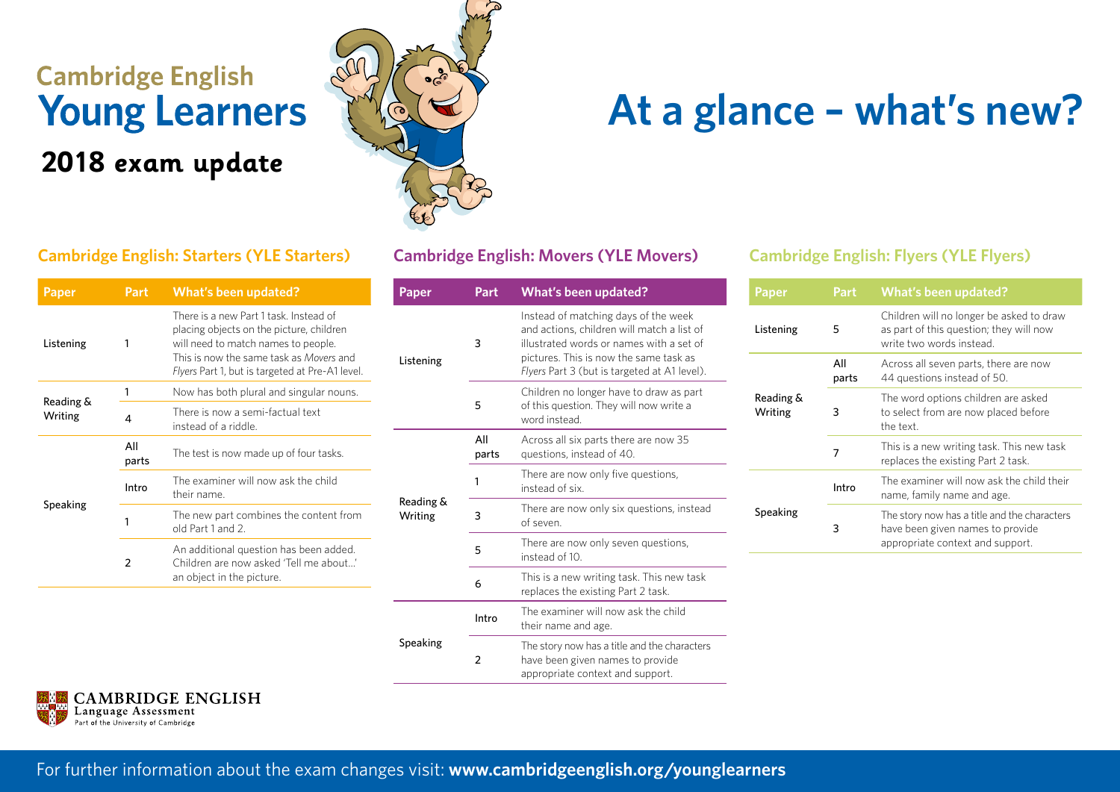## **Cambridge English Young Learners**

### **2018 exam update**



# **At a glance – what's new?**

#### **Cambridge English: Starters (YLE Starters)**

| Paper                | Part         | <b>What's been updated?</b>                                                                                                                                                                                             |  |  |  |  |
|----------------------|--------------|-------------------------------------------------------------------------------------------------------------------------------------------------------------------------------------------------------------------------|--|--|--|--|
| Listening            |              | There is a new Part 1 task. Instead of<br>placing objects on the picture, children<br>will need to match names to people.<br>This is now the same task as Movers and<br>Flyers Part 1, but is targeted at Pre-A1 level. |  |  |  |  |
|                      | 1            | Now has both plural and singular nouns.                                                                                                                                                                                 |  |  |  |  |
| Reading &<br>Writing | 4            | There is now a semi-factual text<br>instead of a riddle.                                                                                                                                                                |  |  |  |  |
|                      | All<br>parts | The test is now made up of four tasks.                                                                                                                                                                                  |  |  |  |  |
|                      | Intro        | The examiner will now ask the child<br>their name                                                                                                                                                                       |  |  |  |  |
| Speaking             | 1            | The new part combines the content from<br>old Part 1 and 2.                                                                                                                                                             |  |  |  |  |
|                      | 2            | An additional question has been added.<br>Children are now asked 'Tell me about'<br>an object in the picture.                                                                                                           |  |  |  |  |
|                      |              |                                                                                                                                                                                                                         |  |  |  |  |

| Listening            | 3            | Instead of matching days of the week<br>and actions, children will match a list of<br>illustrated words or names with a set of<br>pictures. This is now the same task as<br>Flyers Part 3 (but is targeted at A1 level). |  |  |  |  |
|----------------------|--------------|--------------------------------------------------------------------------------------------------------------------------------------------------------------------------------------------------------------------------|--|--|--|--|
|                      | 5            | Children no longer have to draw as part<br>of this question. They will now write a<br>word instead                                                                                                                       |  |  |  |  |
| Reading &<br>Writing | All<br>parts | Across all six parts there are now 35<br>questions, instead of 40.                                                                                                                                                       |  |  |  |  |
|                      | 1            | There are now only five questions,<br>instead of six.                                                                                                                                                                    |  |  |  |  |
|                      | 3            | There are now only six questions, instead<br>of seven                                                                                                                                                                    |  |  |  |  |
|                      | 5            | There are now only seven questions,<br>instead of 10.                                                                                                                                                                    |  |  |  |  |
|                      | 6            | This is a new writing task. This new task<br>replaces the existing Part 2 task.                                                                                                                                          |  |  |  |  |
|                      | Intro        | The examiner will now ask the child<br>their name and age.                                                                                                                                                               |  |  |  |  |
| Speaking             | 2            | The story now has a title and the characters<br>have been given names to provide<br>appropriate context and support.                                                                                                     |  |  |  |  |
|                      |              |                                                                                                                                                                                                                          |  |  |  |  |

**Cambridge English: Movers (YLE Movers)**

**Paper Part What's been updated?**

### **Cambridge English: Flyers (YLE Flyers)**

| <b>Paper</b>         | Part         | <b>What's been updated?</b>                                                                                          |
|----------------------|--------------|----------------------------------------------------------------------------------------------------------------------|
| Listening            | 5            | Children will no longer be asked to draw<br>as part of this question; they will now<br>write two words instead.      |
| Reading &<br>Writing | All<br>parts | Across all seven parts, there are now<br>44 questions instead of 50.                                                 |
|                      | 3            | The word options children are asked<br>to select from are now placed before<br>the text.                             |
|                      | 7            | This is a new writing task. This new task<br>replaces the existing Part 2 task.                                      |
|                      | Intro        | The examiner will now ask the child their<br>name, family name and age.                                              |
| Speaking             | 3            | The story now has a title and the characters<br>have been given names to provide<br>appropriate context and support. |

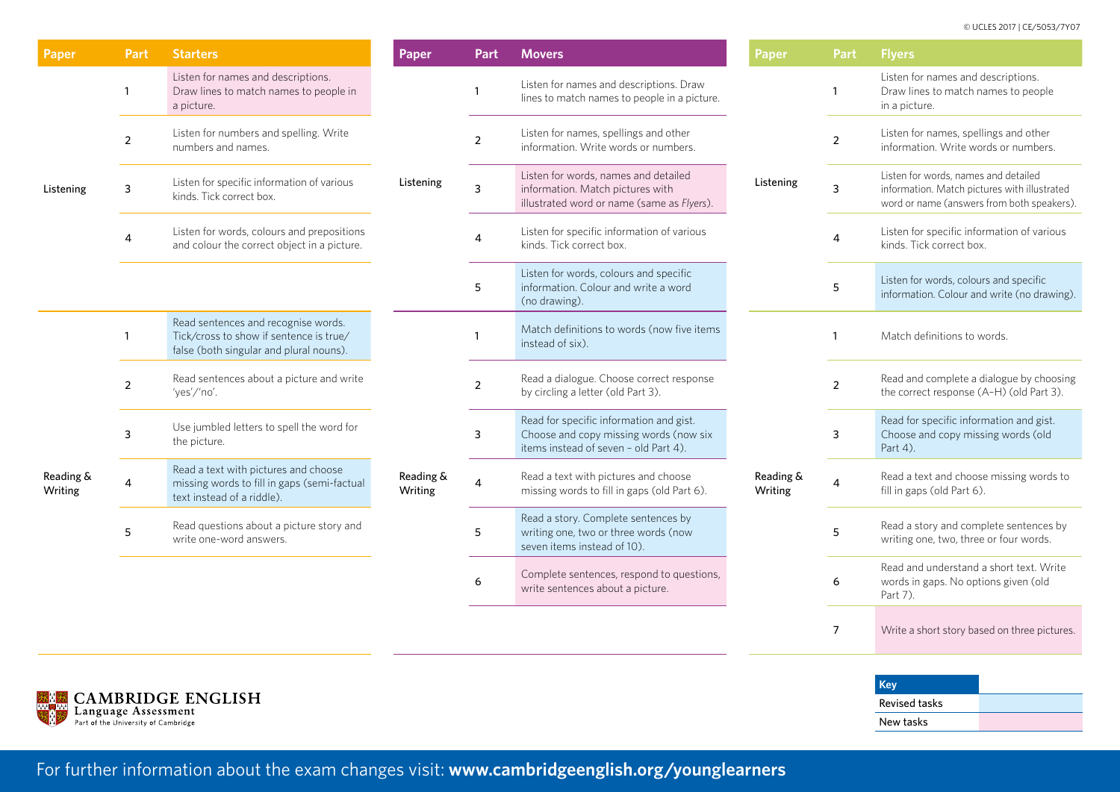#### © UCLES 2017 | CE/5053/7Y07

| Paper                | Part           | <b>Starters</b>                                                                                                           | Paper                | Part                    | <b>Movers</b>                                                                                                              | Paper                | Part           | <b>Flyers</b>                                                                                                                      |
|----------------------|----------------|---------------------------------------------------------------------------------------------------------------------------|----------------------|-------------------------|----------------------------------------------------------------------------------------------------------------------------|----------------------|----------------|------------------------------------------------------------------------------------------------------------------------------------|
| Listening            | -1             | Listen for names and descriptions.<br>Draw lines to match names to people in<br>a picture.                                | Listening            |                         | Listen for names and descriptions. Draw<br>lines to match names to people in a picture.                                    | Listening            | 1              | Listen for names and descriptions.<br>Draw lines to match names to people<br>in a picture.                                         |
|                      | $\overline{2}$ | Listen for numbers and spelling. Write<br>numbers and names.                                                              |                      | $\overline{2}$          | Listen for names, spellings and other<br>information. Write words or numbers.                                              |                      | $\overline{2}$ | Listen for names, spellings and other<br>information. Write words or numbers.                                                      |
|                      | 3              | Listen for specific information of various<br>kinds. Tick correct box.                                                    |                      | 3                       | Listen for words, names and detailed<br>information. Match pictures with<br>illustrated word or name (same as Flyers).     |                      | 3              | Listen for words, names and detailed<br>information. Match pictures with illustrated<br>word or name (answers from both speakers). |
|                      | 4              | Listen for words, colours and prepositions<br>and colour the correct object in a picture.                                 |                      | 4                       | Listen for specific information of various<br>kinds. Tick correct box.                                                     |                      |                | Listen for specific information of various<br>kinds. Tick correct box.                                                             |
|                      |                |                                                                                                                           |                      | 5                       | Listen for words, colours and specific<br>information. Colour and write a word<br>(no drawing).                            |                      | 5              | Listen for words, colours and specific<br>information. Colour and write (no drawing).                                              |
| Reading &<br>Writing | -1             | Read sentences and recognise words.<br>Tick/cross to show if sentence is true/<br>false (both singular and plural nouns). | Reading &<br>Writing |                         | Match definitions to words (now five items<br>instead of six).                                                             | Reading &<br>Writing | 1              | Match definitions to words.                                                                                                        |
|                      | $\overline{2}$ | Read sentences about a picture and write<br>'yes'/'no'.                                                                   |                      | $\overline{2}$          | Read a dialogue. Choose correct response<br>by circling a letter (old Part 3).                                             |                      | 2              | Read and complete a dialogue by choosing<br>the correct response (A-H) (old Part 3).                                               |
|                      | 3              | Use jumbled letters to spell the word for<br>the picture.                                                                 |                      | 3                       | Read for specific information and gist.<br>Choose and copy missing words (now six<br>items instead of seven - old Part 4). |                      | 3              | Read for specific information and gist.<br>Choose and copy missing words (old<br>Part 4).                                          |
|                      | $\overline{4}$ | Read a text with pictures and choose<br>missing words to fill in gaps (semi-factual<br>text instead of a riddle).         |                      | $\overline{\mathbf{4}}$ | Read a text with pictures and choose<br>missing words to fill in gaps (old Part 6).                                        |                      | 4              | Read a text and choose missing words to<br>fill in gaps (old Part 6).                                                              |
|                      | 5              | Read questions about a picture story and<br>write one-word answers.                                                       |                      | 5                       | Read a story. Complete sentences by<br>writing one, two or three words (now<br>seven items instead of 10).                 |                      | 5              | Read a story and complete sentences by<br>writing one, two, three or four words.                                                   |
|                      |                |                                                                                                                           |                      | 6                       | Complete sentences, respond to questions,<br>write sentences about a picture.                                              |                      | 6              | Read and understand a short text. Write<br>words in gaps. No options given (old<br>Part 7).                                        |
|                      |                |                                                                                                                           |                      |                         |                                                                                                                            |                      | 7              | Write a short story based on three pictures.                                                                                       |

| Key                  |
|----------------------|
| <b>Revised tasks</b> |
| New tasks            |



For further information about the exam changes visit: **www.cambridgeenglish.org/younglearners**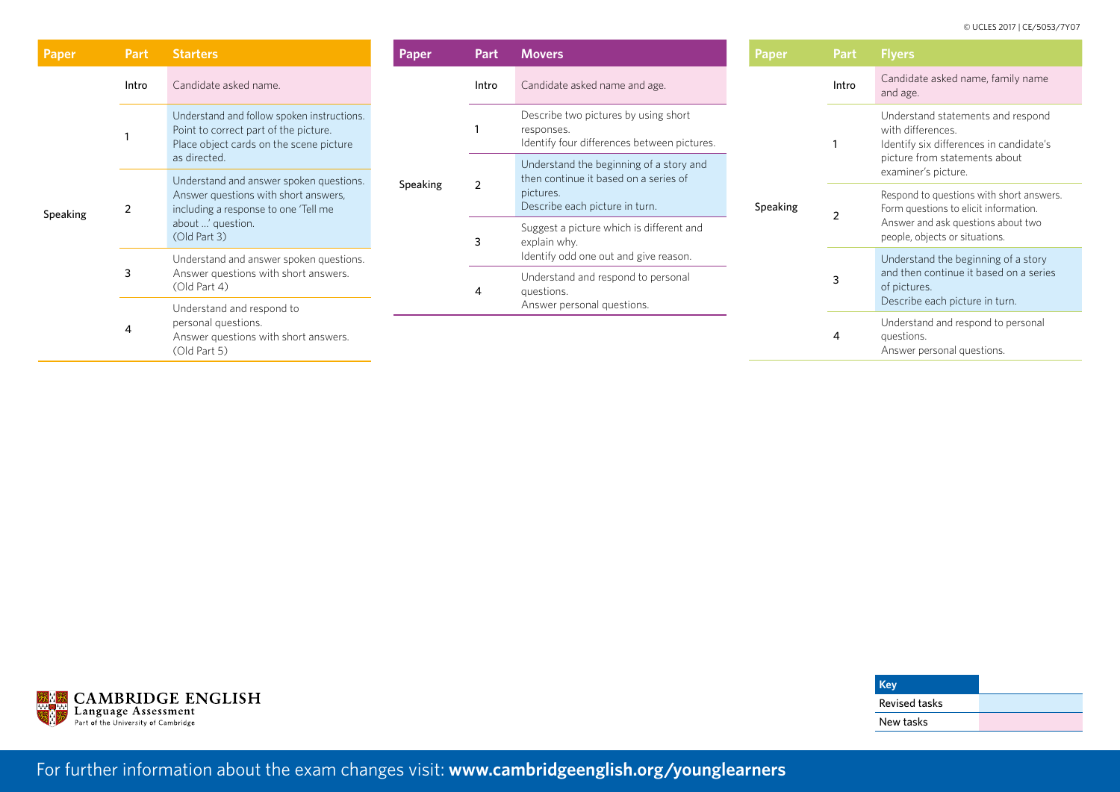| Part           | <b>Starters</b>                                                                                                                | Paper                                                   | Part  | <b>Movers</b>                                                                                                                                                                       | Paper    | Part  | <b>Flyers</b>                                                                                                                                             |
|----------------|--------------------------------------------------------------------------------------------------------------------------------|---------------------------------------------------------|-------|-------------------------------------------------------------------------------------------------------------------------------------------------------------------------------------|----------|-------|-----------------------------------------------------------------------------------------------------------------------------------------------------------|
| Intro          | Candidate asked name.                                                                                                          | Speaking                                                | Intro | Candidate asked name and age.                                                                                                                                                       |          | Intro | Candidate asked name, family name<br>and age.                                                                                                             |
|                | Understand and follow spoken instructions.<br>Point to correct part of the picture.<br>Place object cards on the scene picture |                                                         |       | Describe two pictures by using short<br>responses.<br>Identify four differences between pictures.                                                                                   |          |       | Understand statements and respond<br>with differences.<br>Identify six differences in candidate's<br>picture from statements about<br>examiner's picture. |
|                |                                                                                                                                |                                                         |       | Understand the beginning of a story and<br>then continue it based on a series of<br>pictures.<br>Describe each picture in turn.                                                     | Speaking |       |                                                                                                                                                           |
| $\overline{2}$ | Answer questions with short answers,<br>including a response to one 'Tell me<br>about ' question.<br>(Old Part 3)              |                                                         |       |                                                                                                                                                                                     |          |       | Respond to questions with short answers.<br>Form questions to elicit information.<br>Answer and ask questions about two<br>people, objects or situations. |
|                |                                                                                                                                |                                                         | 3     | Suggest a picture which is different and<br>explain why.<br>Identify odd one out and give reason.<br>Understand and respond to personal<br>questions.<br>Answer personal questions. |          |       |                                                                                                                                                           |
|                | Understand and answer spoken questions.<br>Answer questions with short answers.<br>(Old Part 4)                                |                                                         |       |                                                                                                                                                                                     |          |       | Understand the beginning of a story<br>and then continue it based on a series<br>of pictures.<br>Describe each picture in turn.                           |
| 3              |                                                                                                                                |                                                         |       |                                                                                                                                                                                     |          |       |                                                                                                                                                           |
|                | Understand and respond to<br>personal questions.<br>Answer questions with short answers.<br>(Old Part 5)                       |                                                         |       |                                                                                                                                                                                     |          |       | Understand and respond to personal                                                                                                                        |
| 4              |                                                                                                                                |                                                         |       |                                                                                                                                                                                     |          | 4     | questions.<br>Answer personal questions.                                                                                                                  |
|                |                                                                                                                                | as directed.<br>Understand and answer spoken questions. |       |                                                                                                                                                                                     |          |       |                                                                                                                                                           |



| Key                  |  |
|----------------------|--|
| <b>Revised tasks</b> |  |
| New tasks            |  |
|                      |  |

For further information about the exam changes visit: **www.cambridgeenglish.org/younglearners**